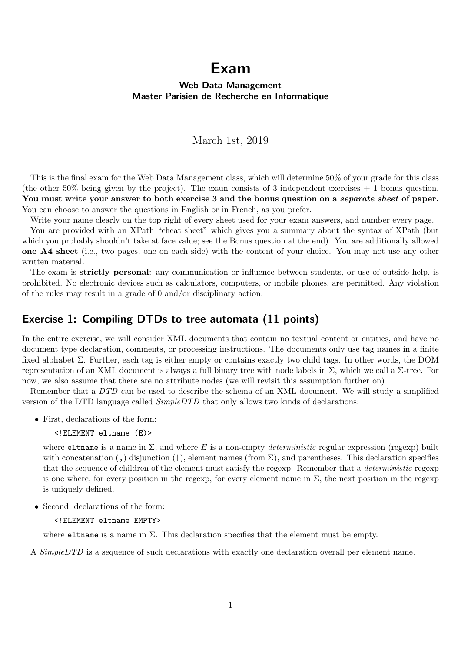# Exam

### Web Data Management Master Parisien de Recherche en Informatique

### March 1st, 2019

This is the final exam for the Web Data Management class, which will determine 50% of your grade for this class (the other 50% being given by the project). The exam consists of 3 independent exercises  $+1$  bonus question. You must write your answer to both exercise 3 and the bonus question on a *separate sheet* of paper. You can choose to answer the questions in English or in French, as you prefer.

Write your name clearly on the top right of every sheet used for your exam answers, and number every page.

You are provided with an XPath "cheat sheet" which gives you a summary about the syntax of XPath (but which you probably shouldn't take at face value; see the Bonus question at the end). You are additionally allowed one A4 sheet (i.e., two pages, one on each side) with the content of your choice. You may not use any other written material.

The exam is **strictly personal**: any communication or influence between students, or use of outside help, is prohibited. No electronic devices such as calculators, computers, or mobile phones, are permitted. Any violation of the rules may result in a grade of 0 and/or disciplinary action.

### Exercise 1: Compiling DTDs to tree automata (11 points)

In the entire exercise, we will consider XML documents that contain no textual content or entities, and have no document type declaration, comments, or processing instructions. The documents only use tag names in a finite fixed alphabet Σ. Further, each tag is either empty or contains exactly two child tags. In other words, the DOM representation of an XML document is always a full binary tree with node labels in Σ, which we call a Σ-tree. For now, we also assume that there are no attribute nodes (we will revisit this assumption further on).

Remember that a DTD can be used to describe the schema of an XML document. We will study a simplified version of the DTD language called *SimpleDTD* that only allows two kinds of declarations:

• First, declarations of the form:

```
<!ELEMENT eltname (E)>
```
where eltname is a name in  $\Sigma$ , and where E is a non-empty *deterministic* regular expression (regexp) built with concatenation (,) disjunction (), element names (from  $\Sigma$ ), and parentheses. This declaration specifies that the sequence of children of the element must satisfy the regexp. Remember that a *deterministic* regexp is one where, for every position in the regexp, for every element name in  $\Sigma$ , the next position in the regexp is uniquely defined.

• Second, declarations of the form:

<!ELEMENT eltname EMPTY>

where eltrame is a name in  $\Sigma$ . This declaration specifies that the element must be empty.

A *SimpleDTD* is a sequence of such declarations with exactly one declaration overall per element name.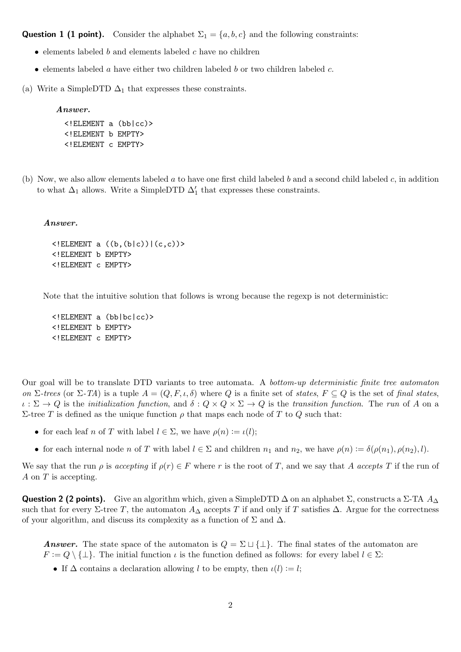**Question 1 (1 point).** Consider the alphabet  $\Sigma_1 = \{a, b, c\}$  and the following constraints:

- elements labeled  $b$  and elements labeled  $c$  have no children
- elements labeled a have either two children labeled b or two children labeled c.
- (a) Write a SimpleDTD  $\Delta_1$  that expresses these constraints.

#### Answer.

```
<!ELEMENT a (bb|cc)>
<!ELEMENT b EMPTY>
<!ELEMENT c EMPTY>
```
(b) Now, we also allow elements labeled a to have one first child labeled b and a second child labeled c, in addition to what  $\Delta_1$  allows. Write a SimpleDTD  $\Delta'_1$  that expresses these constraints.

#### Answer.

```
\leq!ELEMENT a ((b, (b|c))|(c, c))>
<!ELEMENT b EMPTY>
<!ELEMENT c EMPTY>
```
Note that the intuitive solution that follows is wrong because the regexp is not deterministic:

```
<!ELEMENT a (bb|bc|cc)>
<!ELEMENT b EMPTY>
<!ELEMENT c EMPTY>
```
Our goal will be to translate DTD variants to tree automata. A bottom-up deterministic finite tree automaton on Σ-trees (or Σ-TA) is a tuple  $A = (Q, F, \iota, \delta)$  where Q is a finite set of states,  $F \subseteq Q$  is the set of final states,  $\iota : \Sigma \to Q$  is the *initialization function*, and  $\delta : Q \times Q \times \Sigma \to Q$  is the *transition function*. The run of A on a Σ-tree T is defined as the unique function  $ρ$  that maps each node of T to Q such that:

- for each leaf n of T with label  $l \in \Sigma$ , we have  $\rho(n) := \iota(l)$ ;
- for each internal node n of T with label  $l \in \Sigma$  and children  $n_1$  and  $n_2$ , we have  $\rho(n) := \delta(\rho(n_1), \rho(n_2), l)$ .

We say that the run  $\rho$  is accepting if  $\rho(r) \in F$  where r is the root of T, and we say that A accepts T if the run of A on T is accepting.

**Question 2 (2 points).** Give an algorithm which, given a SimpleDTD  $\Delta$  on an alphabet  $\Sigma$ , constructs a  $\Sigma$ -TA  $A_{\Delta}$ such that for every  $\Sigma$ -tree T, the automaton  $A_\Delta$  accepts T if and only if T satisfies  $\Delta$ . Argue for the correctness of your algorithm, and discuss its complexity as a function of  $\Sigma$  and  $\Delta$ .

**Answer.** The state space of the automaton is  $Q = \Sigma \sqcup \{\perp\}$ . The final states of the automaton are  $F := Q \setminus \{\perp\}.$  The initial function  $\iota$  is the function defined as follows: for every label  $l \in \Sigma$ :

• If  $\Delta$  contains a declaration allowing l to be empty, then  $\iota(l) := l$ ;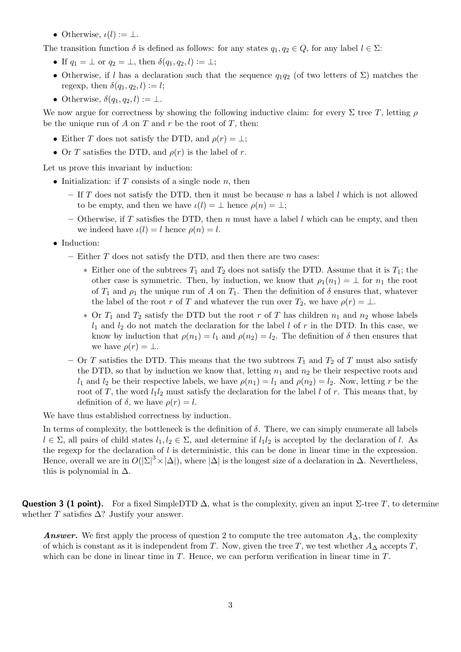• Otherwise,  $\iota(l) := \perp$ .

The transition function  $\delta$  is defined as follows: for any states  $q_1, q_2 \in Q$ , for any label  $l \in \Sigma$ :

- If  $q_1 = \perp$  or  $q_2 = \perp$ , then  $\delta(q_1, q_2, l) := \perp$ ;
- Otherwise, if l has a declaration such that the sequence  $q_1q_2$  (of two letters of  $\Sigma$ ) matches the regexp, then  $\delta(q_1, q_2, l) := l;$
- Otherwise,  $\delta(q_1, q_2, l) := \perp$ .

We now argue for correctness by showing the following inductive claim: for every  $\Sigma$  tree T, letting  $\rho$ be the unique run of A on T and r be the root of T, then:

- Either T does not satisfy the DTD, and  $\rho(r) = \perp$ ;
- Or T satisfies the DTD, and  $\rho(r)$  is the label of r.

Let us prove this invariant by induction:

- Initialization: if  $T$  consists of a single node  $n$ , then
	- If  $T$  does not satisfy the DTD, then it must be because  $n$  has a label  $l$  which is not allowed to be empty, and then we have  $\iota(l) = \bot$  hence  $\rho(n) = \bot$ ;
	- Otherwise, if T satisfies the DTD, then n must have a label l which can be empty, and then we indeed have  $\iota(l) = l$  hence  $\rho(n) = l$ .
- Induction:
	- $-$  Either  $T$  does not satisfy the DTD, and then there are two cases:
		- ∗ Either one of the subtrees  $T_1$  and  $T_2$  does not satisfy the DTD. Assume that it is  $T_1$ ; the other case is symmetric. Then, by induction, we know that  $\rho_1(n_1) = \perp$  for  $n_1$  the root of  $T_1$  and  $\rho_1$  the unique run of A on  $T_1$ . Then the definition of  $\delta$  ensures that, whatever the label of the root r of T and whatever the run over  $T_2$ , we have  $\rho(r) = \perp$ .
		- $*$  Or  $T_1$  and  $T_2$  satisfy the DTD but the root r of T has children  $n_1$  and  $n_2$  whose labels  $l_1$  and  $l_2$  do not match the declaration for the label l of r in the DTD. In this case, we know by induction that  $\rho(n_1) = l_1$  and  $\rho(n_2) = l_2$ . The definition of  $\delta$  then ensures that we have  $\rho(r) = \perp$ .
	- Or T satisfies the DTD. This means that the two subtrees  $T_1$  and  $T_2$  of T must also satisfy the DTD, so that by induction we know that, letting  $n_1$  and  $n_2$  be their respective roots and  $l_1$  and  $l_2$  be their respective labels, we have  $\rho(n_1) = l_1$  and  $\rho(n_2) = l_2$ . Now, letting r be the root of T, the word  $l_1l_2$  must satisfy the declaration for the label l of r. This means that, by definition of  $\delta$ , we have  $\rho(r) = l$ .

We have thus established correctness by induction.

In terms of complexity, the bottleneck is the definition of  $\delta$ . There, we can simply enumerate all labels  $l \in \Sigma$ , all pairs of child states  $l_1, l_2 \in \Sigma$ , and determine if  $l_1l_2$  is accepted by the declaration of l. As the regexp for the declaration of l is deterministic, this can be done in linear time in the expression. Hence, overall we are in  $O(|\Sigma|^3 \times |\Delta|)$ , where  $|\Delta|$  is the longest size of a declaration in  $\Delta$ . Nevertheless, this is polynomial in  $\Delta$ .

**Question 3 (1 point).** For a fixed SimpleDTD  $\Delta$ , what is the complexity, given an input Σ-tree T, to determine whether T satisfies  $\Delta$ ? Justify your answer.

Answer. We first apply the process of question 2 to compute the tree automaton  $A_{\Delta}$ , the complexity of which is constant as it is independent from T. Now, given the tree T, we test whether  $A_{\Delta}$  accepts T, which can be done in linear time in  $T$ . Hence, we can perform verification in linear time in  $T$ .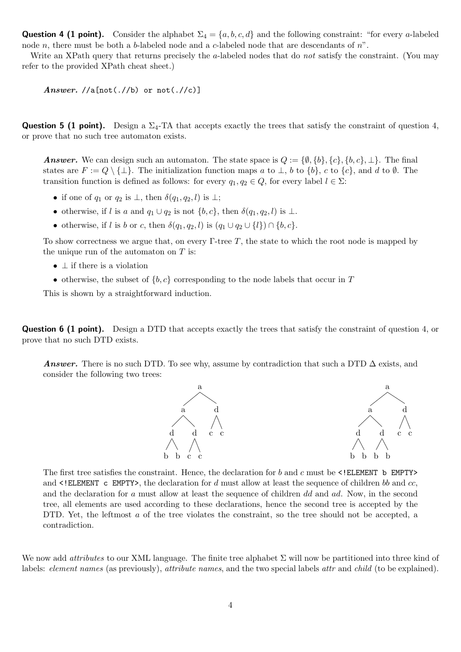**Question 4 (1 point).** Consider the alphabet  $\Sigma_4 = \{a, b, c, d\}$  and the following constraint: "for every a-labeled node n, there must be both a b-labeled node and a c-labeled node that are descendants of  $n^{\prime}$ .

Write an XPath query that returns precisely the a-labeled nodes that do not satisfy the constraint. (You may refer to the provided XPath cheat sheet.)

Answer.  $//a[not(.//b)$  or  $not(.//c)]$ 

**Question 5 (1 point).** Design a  $\Sigma_4$ -TA that accepts exactly the trees that satisfy the constraint of question 4, or prove that no such tree automaton exists.

**Answer.** We can design such an automaton. The state space is  $Q := {\emptyset, \{b\}, \{c\}, \{b, c\}, \perp\}.$  The final states are  $F := Q \setminus \{\perp\}.$  The initialization function maps a to  $\perp$ , b to  $\{b\}$ , c to  $\{c\}$ , and d to Ø. The transition function is defined as follows: for every  $q_1, q_2 \in Q$ , for every label  $l \in \Sigma$ :

- if one of  $q_1$  or  $q_2$  is  $\perp$ , then  $\delta(q_1, q_2, l)$  is  $\perp$ ;
- otherwise, if l is a and  $q_1 \cup q_2$  is not  $\{b, c\}$ , then  $\delta(q_1, q_2, l)$  is  $\bot$ .
- otherwise, if l is b or c, then  $\delta(q_1, q_2, l)$  is  $(q_1 \cup q_2 \cup \{l\}) \cap \{b, c\}.$

To show correctness we argue that, on every  $\Gamma$ -tree T, the state to which the root node is mapped by the unique run of the automaton on  $T$  is:

- $\perp$  if there is a violation
- otherwise, the subset of  $\{b, c\}$  corresponding to the node labels that occur in T

This is shown by a straightforward induction.

Question 6 (1 point). Design a DTD that accepts exactly the trees that satisfy the constraint of question 4, or prove that no such DTD exists.

Answer. There is no such DTD. To see why, assume by contradiction that such a DTD  $\Delta$  exists, and consider the following two trees:



The first tree satisfies the constraint. Hence, the declaration for b and c must be  $\leq !$  ELEMENT b EMPTY> and  $\leq$ ! ELEMENT c EMPTY>, the declaration for d must allow at least the sequence of children bb and cc, and the declaration for a must allow at least the sequence of children dd and ad. Now, in the second tree, all elements are used according to these declarations, hence the second tree is accepted by the DTD. Yet, the leftmost a of the tree violates the constraint, so the tree should not be accepted, a contradiction.

We now add *attributes* to our XML language. The finite tree alphabet  $\Sigma$  will now be partitioned into three kind of labels: element names (as previously), attribute names, and the two special labels attr and child (to be explained).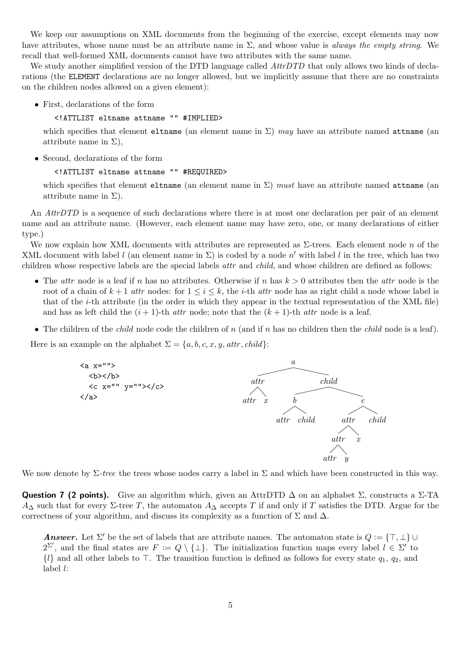We keep our assumptions on XML documents from the beginning of the exercise, except elements may now have attributes, whose name must be an attribute name in  $\Sigma$ , and whose value is *always the empty string*. We recall that well-formed XML documents cannot have two attributes with the same name.

We study another simplified version of the DTD language called AttrDTD that only allows two kinds of declarations (the ELEMENT declarations are no longer allowed, but we implicitly assume that there are no constraints on the children nodes allowed on a given element):

• First, declarations of the form

### <!ATTLIST eltname attname "" #IMPLIED>

which specifies that element eltname (an element name in  $\Sigma$ ) may have an attribute named attname (an attribute name in  $\Sigma$ ),

• Second, declarations of the form

#### <!ATTLIST eltname attname "" #REQUIRED>

which specifies that element eltname (an element name in  $\Sigma$ ) must have an attribute named attname (an attribute name in  $\Sigma$ ).

An *AttrDTD* is a sequence of such declarations where there is at most one declaration per pair of an element name and an attribute name. (However, each element name may have zero, one, or many declarations of either type.)

We now explain how XML documents with attributes are represented as  $\Sigma$ -trees. Each element node n of the XML document with label l (an element name in  $\Sigma$ ) is coded by a node n' with label l in the tree, which has two children whose respective labels are the special labels *attr* and *child*, and whose children are defined as follows:

- The *attr* node is a leaf if n has no attributes. Otherwise if n has  $k > 0$  attributes then the *attr* node is the root of a chain of  $k+1$  attr nodes: for  $1 \le i \le k$ , the *i*-th attr node has as right child a node whose label is that of the i-th attribute (in the order in which they appear in the textual representation of the XML file) and has as left child the  $(i + 1)$ -th *attr* node; note that the  $(k + 1)$ -th *attr* node is a leaf.
- The children of the *child* node code the children of  $n$  (and if  $n$  has no children then the *child* node is a leaf).

Here is an example on the alphabet  $\Sigma = \{a, b, c, x, y, \text{attr}, \text{child}\}\$ :



We now denote by  $\Sigma$ -tree the trees whose nodes carry a label in  $\Sigma$  and which have been constructed in this way.

**Question 7 (2 points).** Give an algorithm which, given an AttrDTD  $\Delta$  on an alphabet  $\Sigma$ , constructs a  $\Sigma$ -TA  $A_\Delta$  such that for every ∑-tree T, the automaton  $A_\Delta$  accepts T if and only if T satisfies the DTD. Argue for the correctness of your algorithm, and discuss its complexity as a function of  $\Sigma$  and  $\Delta$ .

**Answer.** Let  $\Sigma'$  be the set of labels that are attribute names. The automaton state is  $Q := \{\top, \bot\} \cup$  $2^{\Sigma'}$ , and the final states are  $F := Q \setminus {\{\perp\}}$ . The initialization function maps every label  $l \in \Sigma'$  to  $\{l\}$  and all other labels to  $\top$ . The transition function is defined as follows for every state  $q_1, q_2$ , and label l: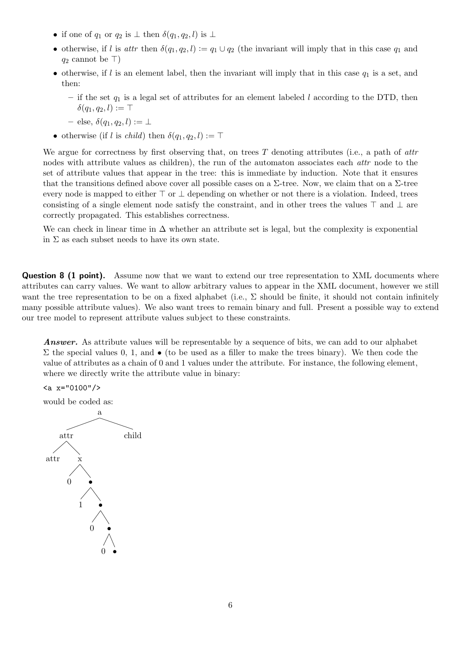- if one of  $q_1$  or  $q_2$  is  $\perp$  then  $\delta(q_1, q_2, l)$  is  $\perp$
- otherwise, if l is attr then  $\delta(q_1, q_2, l) := q_1 \cup q_2$  (the invariant will imply that in this case  $q_1$  and  $q_2$  cannot be  $\top$ )
- otherwise, if  $l$  is an element label, then the invariant will imply that in this case  $q_1$  is a set, and then:
	- if the set  $q_1$  is a legal set of attributes for an element labeled l according to the DTD, then  $\delta(q_1, q_2, l) := \top$
	- else,  $\delta(q_1, q_2, l) \coloneqq \perp$
- otherwise (if l is *child*) then  $\delta(q_1, q_2, l) := \top$

We argue for correctness by first observing that, on trees  $T$  denoting attributes (i.e., a path of attributes) nodes with attribute values as children), the run of the automaton associates each *attr* node to the set of attribute values that appear in the tree: this is immediate by induction. Note that it ensures that the transitions defined above cover all possible cases on a  $\Sigma$ -tree. Now, we claim that on a  $\Sigma$ -tree every node is mapped to either  $\top$  or  $\bot$  depending on whether or not there is a violation. Indeed, trees consisting of a single element node satisfy the constraint, and in other trees the values  $\top$  and  $\bot$  are correctly propagated. This establishes correctness.

We can check in linear time in  $\Delta$  whether an attribute set is legal, but the complexity is exponential in  $\Sigma$  as each subset needs to have its own state.

**Question 8 (1 point).** Assume now that we want to extend our tree representation to XML documents where attributes can carry values. We want to allow arbitrary values to appear in the XML document, however we still want the tree representation to be on a fixed alphabet (i.e.,  $\Sigma$  should be finite, it should not contain infinitely many possible attribute values). We also want trees to remain binary and full. Present a possible way to extend our tree model to represent attribute values subject to these constraints.

Answer. As attribute values will be representable by a sequence of bits, we can add to our alphabet  $\Sigma$  the special values 0, 1, and  $\bullet$  (to be used as a filler to make the trees binary). We then code the value of attributes as a chain of 0 and 1 values under the attribute. For instance, the following element, where we directly write the attribute value in binary:

 $\langle a \rangle x = 0100$ "/>

would be coded as:

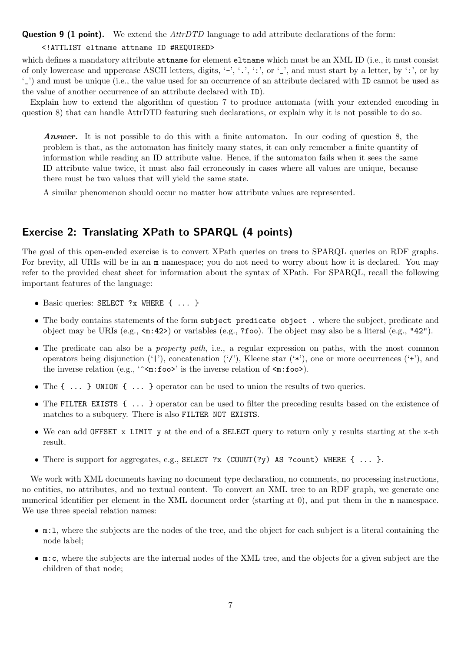**Question 9 (1 point).** We extend the  $AttrDTD$  language to add attribute declarations of the form:

### <!ATTLIST eltname attname ID #REQUIRED>

which defines a mandatory attribute **attname** for element **eltname** which must be an XML ID (i.e., it must consist of only lowercase and uppercase ASCII letters, digits,  $\cdot$ -',  $\cdot$ , ', ':', or  $\cdot$ ,', and must start by a letter, by  $\cdot$ ;', or by '\_') and must be unique (i.e., the value used for an occurrence of an attribute declared with ID cannot be used as the value of another occurrence of an attribute declared with ID).

Explain how to extend the algorithm of question 7 to produce automata (with your extended encoding in question 8) that can handle AttrDTD featuring such declarations, or explain why it is not possible to do so.

Answer. It is not possible to do this with a finite automaton. In our coding of question 8, the problem is that, as the automaton has finitely many states, it can only remember a finite quantity of information while reading an ID attribute value. Hence, if the automaton fails when it sees the same ID attribute value twice, it must also fail erroneously in cases where all values are unique, because there must be two values that will yield the same state.

A similar phenomenon should occur no matter how attribute values are represented.

## Exercise 2: Translating XPath to SPARQL (4 points)

The goal of this open-ended exercise is to convert XPath queries on trees to SPARQL queries on RDF graphs. For brevity, all URIs will be in an m namespace; you do not need to worry about how it is declared. You may refer to the provided cheat sheet for information about the syntax of XPath. For SPARQL, recall the following important features of the language:

- Basic queries: SELECT ?x WHERE  $\{ \ldots \}$
- The body contains statements of the form subject predicate object . where the subject, predicate and object may be URIs (e.g., <m:42>) or variables (e.g., ?foo). The object may also be a literal (e.g., "42").
- The predicate can also be a *property path*, i.e., a regular expression on paths, with the most common operators being disjunction  $('')$ , concatenation  $('')$ , Kleene star  $(*)$ , one or more occurrences  $(*)$ , and the inverse relation (e.g.,  $\sim$ n:foo>' is the inverse relation of  $\sim$ n:foo>).
- The  $\{\ldots\}$  UNION  $\{\ldots\}$  operator can be used to union the results of two queries.
- The FILTER EXISTS  $\{\ldots\}$  operator can be used to filter the preceding results based on the existence of matches to a subquery. There is also FILTER NOT EXISTS.
- We can add OFFSET x LIMIT y at the end of a SELECT query to return only y results starting at the x-th result.
- There is support for aggregates, e.g., SELECT ?x (COUNT $(?y)$  AS ?count) WHERE  $\{ \ldots \}$ .

We work with XML documents having no document type declaration, no comments, no processing instructions, no entities, no attributes, and no textual content. To convert an XML tree to an RDF graph, we generate one numerical identifier per element in the XML document order (starting at 0), and put them in the m namespace. We use three special relation names:

- m:l, where the subjects are the nodes of the tree, and the object for each subject is a literal containing the node label;
- m:c, where the subjects are the internal nodes of the XML tree, and the objects for a given subject are the children of that node;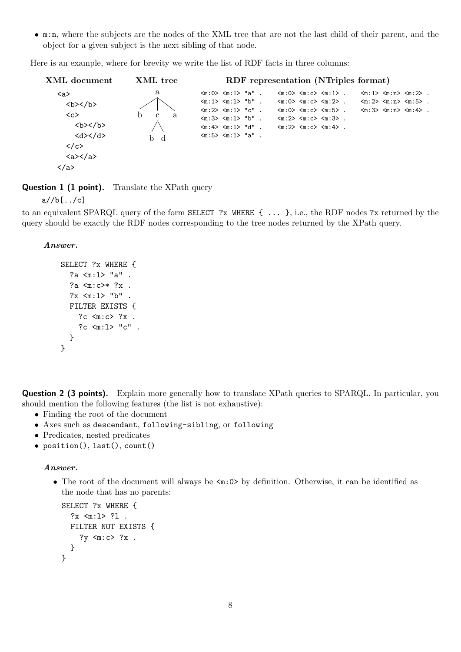• m:n, where the subjects are the nodes of the XML tree that are not the last child of their parent, and the object for a given subject is the next sibling of that node.

Here is an example, where for brevity we write the list of RDF facts in three columns:



Question 1 (1 point). Translate the XPath query

 $a//b[...]c]$ 

to an equivalent SPARQL query of the form SELECT ?x WHERE { ... }, i.e., the RDF nodes ?x returned by the query should be exactly the RDF nodes corresponding to the tree nodes returned by the XPath query.

Answer.

```
SELECT ?x WHERE {
  ?a <m:l> "a" .
  ?a <m:c>* ?x .
  ?x \langle m:1 \rangle "b".
  FILTER EXISTS {
    ?c <m:c> ?x .
    ?c <m:l> "c" .
  }
}
```
Question 2 (3 points). Explain more generally how to translate XPath queries to SPARQL. In particular, you should mention the following features (the list is not exhaustive):

- Finding the root of the document
- Axes such as descendant, following-sibling, or following
- Predicates, nested predicates
- position(), last(), count()

#### Answer.

• The root of the document will always be  $\leq m:0$  by definition. Otherwise, it can be identified as the node that has no parents:

```
SELECT ?x WHERE {
  ?x <m:1> ?1 .
 FILTER NOT EXISTS {
    ?y <m:c> ?x .
  }
}
```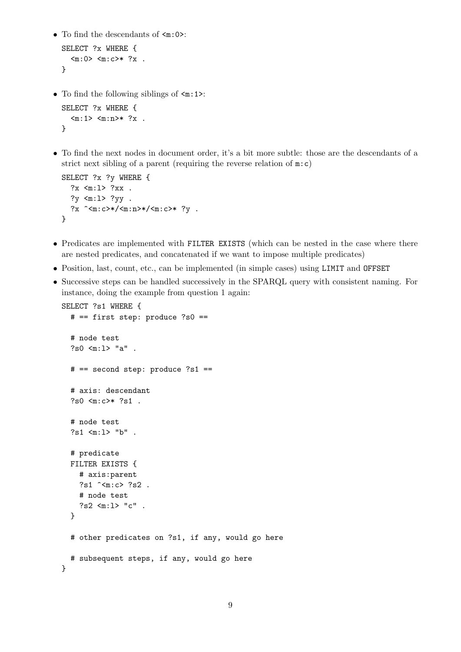• To find the descendants of  $\leq m:0>$ :

```
SELECT ?x WHERE {
   \langle m:0 \rangle \langle m:0 \rangle * ?x.
}
```
• To find the following siblings of  $\leq m:1$ :

```
SELECT ?x WHERE {
   \langle m:1 \rangle \langle m:n \rangle * ?x.
}
```
• To find the next nodes in document order, it's a bit more subtle: those are the descendants of a strict next sibling of a parent (requiring the reverse relation of  $m:c$ )

```
SELECT ?x ?y WHERE {
 ?x <m:1> ?xx.
  ?y <m:1> ?yy .
  ?x ^<m:c>*/<m:n>*/<m:c>* ?y .
}
```
- Predicates are implemented with FILTER EXISTS (which can be nested in the case where there are nested predicates, and concatenated if we want to impose multiple predicates)
- Position, last, count, etc., can be implemented (in simple cases) using LIMIT and OFFSET
- Successive steps can be handled successively in the SPARQL query with consistent naming. For instance, doing the example from question 1 again:

```
SELECT ?s1 WHERE {
  # == first step: produce ?s0 ==# node test
  ?s0 <m:l> "a" .
  # == second step: produce ?s1 ==
  # axis: descendant
  ?s0 <m:c>* ?s1 .
  # node test
  ?s1 <m:l> "b" .
  # predicate
  FILTER EXISTS {
    # axis:parent
    ?s1 ^<m:c> ?s2 .
    # node test
    ?s2 <m:l> "c" .
  }
  # other predicates on ?s1, if any, would go here
  # subsequent steps, if any, would go here
}
```